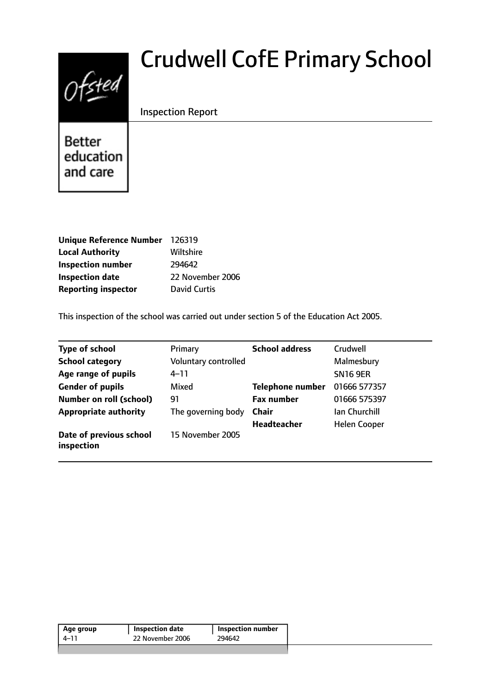# $0$ fsted

## Crudwell CofE Primary School

#### Inspection Report

**Better** education and care

| Unique Reference Number 126319 |                     |
|--------------------------------|---------------------|
| <b>Local Authority</b>         | Wiltshire           |
| <b>Inspection number</b>       | 294642              |
| <b>Inspection date</b>         | 22 November 2006    |
| <b>Reporting inspector</b>     | <b>David Curtis</b> |

This inspection of the school was carried out under section 5 of the Education Act 2005.

| <b>Type of school</b>                 | Primary              | <b>School address</b>   | Crudwell            |
|---------------------------------------|----------------------|-------------------------|---------------------|
| <b>School category</b>                | Voluntary controlled |                         | Malmesbury          |
| Age range of pupils                   | $4 - 11$             |                         | <b>SN16 9ER</b>     |
| <b>Gender of pupils</b>               | Mixed                | <b>Telephone number</b> | 01666 577357        |
| <b>Number on roll (school)</b>        | 91                   | <b>Fax number</b>       | 01666 575397        |
| <b>Appropriate authority</b>          | The governing body   | <b>Chair</b>            | Ian Churchill       |
|                                       |                      | Headteacher             | <b>Helen Cooper</b> |
| Date of previous school<br>inspection | 15 November 2005     |                         |                     |

| 22 November 2006<br>294642<br>4–11 | Age group | <b>Inspection date</b> | Inspection number |
|------------------------------------|-----------|------------------------|-------------------|
|                                    |           |                        |                   |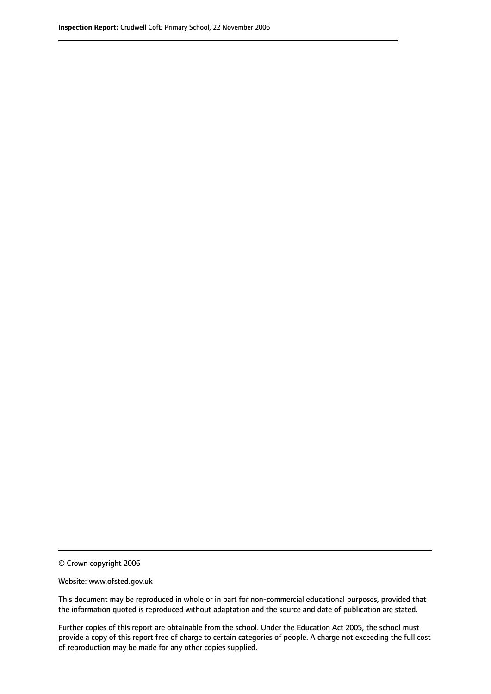© Crown copyright 2006

Website: www.ofsted.gov.uk

This document may be reproduced in whole or in part for non-commercial educational purposes, provided that the information quoted is reproduced without adaptation and the source and date of publication are stated.

Further copies of this report are obtainable from the school. Under the Education Act 2005, the school must provide a copy of this report free of charge to certain categories of people. A charge not exceeding the full cost of reproduction may be made for any other copies supplied.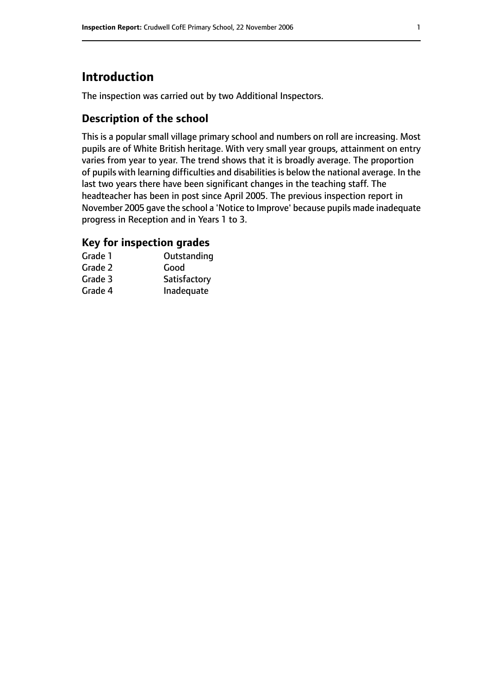#### **Introduction**

The inspection was carried out by two Additional Inspectors.

#### **Description of the school**

This is a popular small village primary school and numbers on roll are increasing. Most pupils are of White British heritage. With very small year groups, attainment on entry varies from year to year. The trend shows that it is broadly average. The proportion of pupils with learning difficulties and disabilities is below the national average. In the last two years there have been significant changes in the teaching staff. The headteacher has been in post since April 2005. The previous inspection report in November 2005 gave the school a 'Notice to Improve' because pupils made inadequate progress in Reception and in Years 1 to 3.

#### **Key for inspection grades**

| Grade 1 | Outstanding  |
|---------|--------------|
| Grade 2 | Good         |
| Grade 3 | Satisfactory |
| Grade 4 | Inadequate   |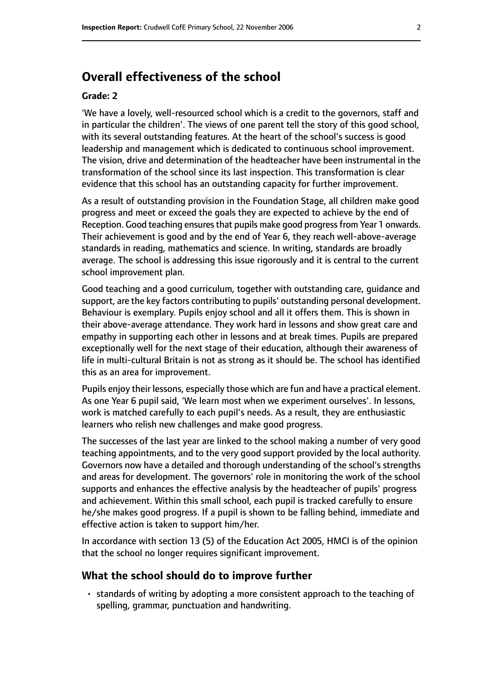#### **Overall effectiveness of the school**

#### **Grade: 2**

'We have a lovely, well-resourced school which is a credit to the governors, staff and in particular the children'. The views of one parent tell the story of this good school, with its several outstanding features. At the heart of the school's success is good leadership and management which is dedicated to continuous school improvement. The vision, drive and determination of the headteacher have been instrumental in the transformation of the school since its last inspection. This transformation is clear evidence that this school has an outstanding capacity for further improvement.

As a result of outstanding provision in the Foundation Stage, all children make good progress and meet or exceed the goals they are expected to achieve by the end of Reception. Good teaching ensures that pupils make good progress from Year 1 onwards. Their achievement is good and by the end of Year 6, they reach well-above-average standards in reading, mathematics and science. In writing, standards are broadly average. The school is addressing this issue rigorously and it is central to the current school improvement plan.

Good teaching and a good curriculum, together with outstanding care, guidance and support, are the key factors contributing to pupils' outstanding personal development. Behaviour is exemplary. Pupils enjoy school and all it offers them. This is shown in their above-average attendance. They work hard in lessons and show great care and empathy in supporting each other in lessons and at break times. Pupils are prepared exceptionally well for the next stage of their education, although their awareness of life in multi-cultural Britain is not as strong as it should be. The school has identified this as an area for improvement.

Pupils enjoy their lessons, especially those which are fun and have a practical element. As one Year 6 pupil said, 'We learn most when we experiment ourselves'. In lessons, work is matched carefully to each pupil's needs. As a result, they are enthusiastic learners who relish new challenges and make good progress.

The successes of the last year are linked to the school making a number of very good teaching appointments, and to the very good support provided by the local authority. Governors now have a detailed and thorough understanding of the school's strengths and areas for development. The governors' role in monitoring the work of the school supports and enhances the effective analysis by the headteacher of pupils' progress and achievement. Within this small school, each pupil is tracked carefully to ensure he/she makes good progress. If a pupil is shown to be falling behind, immediate and effective action is taken to support him/her.

In accordance with section 13 (5) of the Education Act 2005, HMCI is of the opinion that the school no longer requires significant improvement.

#### **What the school should do to improve further**

• standards of writing by adopting a more consistent approach to the teaching of spelling, grammar, punctuation and handwriting.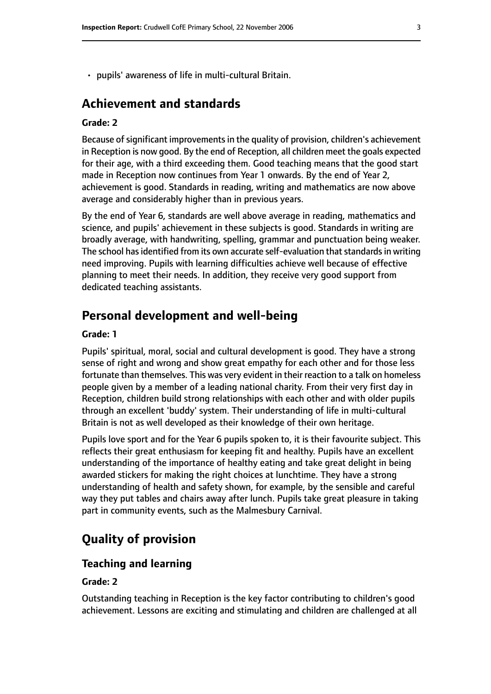• pupils' awareness of life in multi-cultural Britain.

#### **Achievement and standards**

#### **Grade: 2**

Because of significant improvements in the quality of provision, children's achievement in Reception is now good. By the end of Reception, all children meet the goals expected for their age, with a third exceeding them. Good teaching means that the good start made in Reception now continues from Year 1 onwards. By the end of Year 2, achievement is good. Standards in reading, writing and mathematics are now above average and considerably higher than in previous years.

By the end of Year 6, standards are well above average in reading, mathematics and science, and pupils' achievement in these subjects is good. Standards in writing are broadly average, with handwriting, spelling, grammar and punctuation being weaker. The school has identified from its own accurate self-evaluation that standards in writing need improving. Pupils with learning difficulties achieve well because of effective planning to meet their needs. In addition, they receive very good support from dedicated teaching assistants.

#### **Personal development and well-being**

#### **Grade: 1**

Pupils' spiritual, moral, social and cultural development is good. They have a strong sense of right and wrong and show great empathy for each other and for those less fortunate than themselves. This was very evident in their reaction to a talk on homeless people given by a member of a leading national charity. From their very first day in Reception, children build strong relationships with each other and with older pupils through an excellent 'buddy' system. Their understanding of life in multi-cultural Britain is not as well developed as their knowledge of their own heritage.

Pupils love sport and for the Year 6 pupils spoken to, it is their favourite subject. This reflects their great enthusiasm for keeping fit and healthy. Pupils have an excellent understanding of the importance of healthy eating and take great delight in being awarded stickers for making the right choices at lunchtime. They have a strong understanding of health and safety shown, for example, by the sensible and careful way they put tables and chairs away after lunch. Pupils take great pleasure in taking part in community events, such as the Malmesbury Carnival.

#### **Quality of provision**

#### **Teaching and learning**

#### **Grade: 2**

Outstanding teaching in Reception is the key factor contributing to children's good achievement. Lessons are exciting and stimulating and children are challenged at all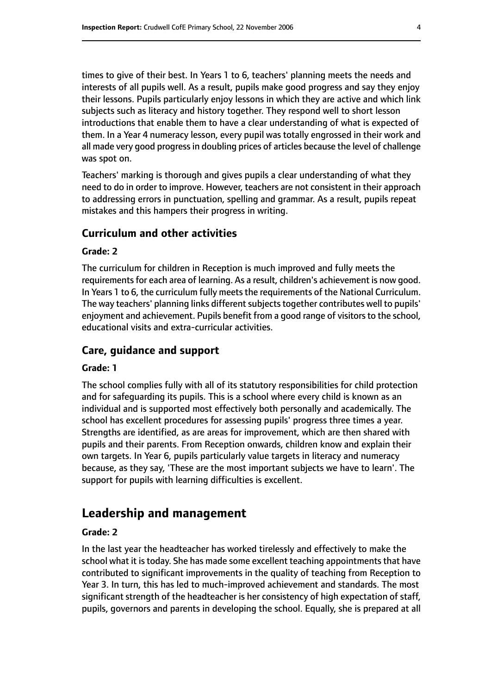times to give of their best. In Years 1 to 6, teachers' planning meets the needs and interests of all pupils well. As a result, pupils make good progress and say they enjoy their lessons. Pupils particularly enjoy lessons in which they are active and which link subjects such as literacy and history together. They respond well to short lesson introductions that enable them to have a clear understanding of what is expected of them. In a Year 4 numeracy lesson, every pupil was totally engrossed in their work and all made very good progress in doubling prices of articles because the level of challenge was spot on.

Teachers' marking is thorough and gives pupils a clear understanding of what they need to do in order to improve. However, teachers are not consistent in their approach to addressing errors in punctuation, spelling and grammar. As a result, pupils repeat mistakes and this hampers their progress in writing.

#### **Curriculum and other activities**

#### **Grade: 2**

The curriculum for children in Reception is much improved and fully meets the requirements for each area of learning. As a result, children's achievement is now good. In Years 1 to 6, the curriculum fully meets the requirements of the National Curriculum. The way teachers' planning links different subjects together contributes well to pupils' enjoyment and achievement. Pupils benefit from a good range of visitors to the school, educational visits and extra-curricular activities.

#### **Care, guidance and support**

#### **Grade: 1**

The school complies fully with all of its statutory responsibilities for child protection and for safeguarding its pupils. This is a school where every child is known as an individual and is supported most effectively both personally and academically. The school has excellent procedures for assessing pupils' progress three times a year. Strengths are identified, as are areas for improvement, which are then shared with pupils and their parents. From Reception onwards, children know and explain their own targets. In Year 6, pupils particularly value targets in literacy and numeracy because, as they say, 'These are the most important subjects we have to learn'. The support for pupils with learning difficulties is excellent.

#### **Leadership and management**

#### **Grade: 2**

In the last year the headteacher has worked tirelessly and effectively to make the school what it is today. She has made some excellent teaching appointments that have contributed to significant improvements in the quality of teaching from Reception to Year 3. In turn, this has led to much-improved achievement and standards. The most significant strength of the headteacher is her consistency of high expectation of staff, pupils, governors and parents in developing the school. Equally, she is prepared at all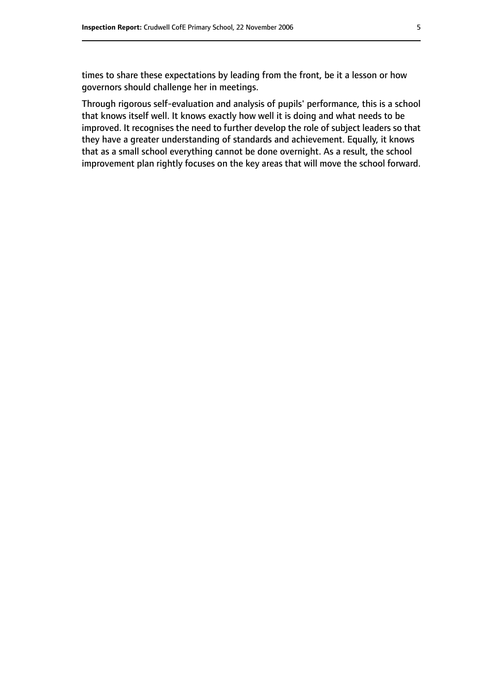times to share these expectations by leading from the front, be it a lesson or how governors should challenge her in meetings.

Through rigorous self-evaluation and analysis of pupils' performance, this is a school that knows itself well. It knows exactly how well it is doing and what needs to be improved. It recognises the need to further develop the role of subject leaders so that they have a greater understanding of standards and achievement. Equally, it knows that as a small school everything cannot be done overnight. As a result, the school improvement plan rightly focuses on the key areas that will move the school forward.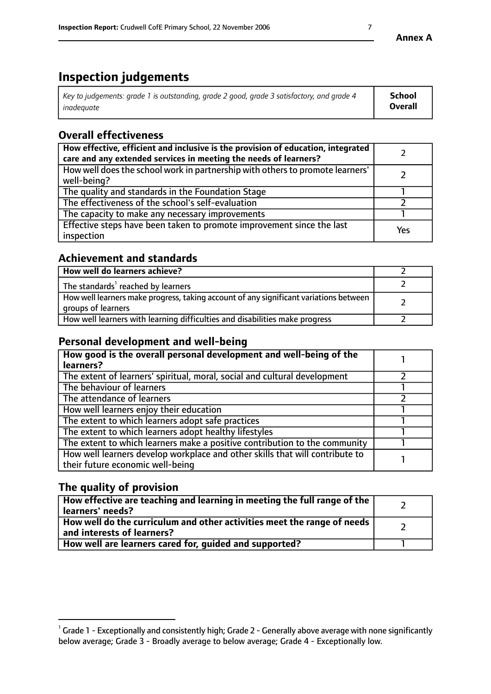#### **Inspection judgements**

| Key to judgements: grade 1 is outstanding, grade 2 good, grade 3 satisfactory, and grade 4 | School         |
|--------------------------------------------------------------------------------------------|----------------|
| inadeauate                                                                                 | <b>Overall</b> |

#### **Overall effectiveness**

| How effective, efficient and inclusive is the provision of education, integrated<br>care and any extended services in meeting the needs of learners? |     |
|------------------------------------------------------------------------------------------------------------------------------------------------------|-----|
| How well does the school work in partnership with others to promote learners'<br>well-being?                                                         |     |
| The quality and standards in the Foundation Stage                                                                                                    |     |
| The effectiveness of the school's self-evaluation                                                                                                    |     |
| The capacity to make any necessary improvements                                                                                                      |     |
| Effective steps have been taken to promote improvement since the last<br>inspection                                                                  | Yes |

#### **Achievement and standards**

| How well do learners achieve?                                                                               |  |
|-------------------------------------------------------------------------------------------------------------|--|
| The standards <sup>1</sup> reached by learners                                                              |  |
| How well learners make progress, taking account of any significant variations between<br>groups of learners |  |
| How well learners with learning difficulties and disabilities make progress                                 |  |

#### **Personal development and well-being**

| How good is the overall personal development and well-being of the<br>learners?                                  |  |
|------------------------------------------------------------------------------------------------------------------|--|
| The extent of learners' spiritual, moral, social and cultural development                                        |  |
| The behaviour of learners                                                                                        |  |
| The attendance of learners                                                                                       |  |
| How well learners enjoy their education                                                                          |  |
| The extent to which learners adopt safe practices                                                                |  |
| The extent to which learners adopt healthy lifestyles                                                            |  |
| The extent to which learners make a positive contribution to the community                                       |  |
| How well learners develop workplace and other skills that will contribute to<br>their future economic well-being |  |

#### **The quality of provision**

| How effective are teaching and learning in meeting the full range of the<br>  learners' needs?                      |  |
|---------------------------------------------------------------------------------------------------------------------|--|
| $\mid$ How well do the curriculum and other activities meet the range of needs<br>$\mid$ and interests of learners? |  |
| How well are learners cared for, guided and supported?                                                              |  |

 $^1$  Grade 1 - Exceptionally and consistently high; Grade 2 - Generally above average with none significantly below average; Grade 3 - Broadly average to below average; Grade 4 - Exceptionally low.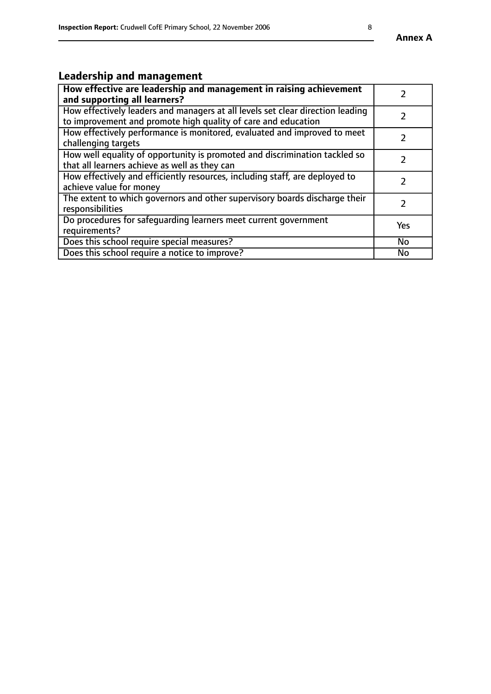### **Leadership and management**

| How effective are leadership and management in raising achievement<br>and supporting all learners?                                              |               |
|-------------------------------------------------------------------------------------------------------------------------------------------------|---------------|
| How effectively leaders and managers at all levels set clear direction leading<br>to improvement and promote high quality of care and education |               |
| How effectively performance is monitored, evaluated and improved to meet<br>challenging targets                                                 | $\mathcal{L}$ |
| How well equality of opportunity is promoted and discrimination tackled so<br>that all learners achieve as well as they can                     |               |
| How effectively and efficiently resources, including staff, are deployed to<br>achieve value for money                                          | $\mathcal{P}$ |
| The extent to which governors and other supervisory boards discharge their<br>responsibilities                                                  |               |
| Do procedures for safequarding learners meet current government<br>requirements?                                                                | Yes           |
| Does this school require special measures?                                                                                                      | No            |
| Does this school require a notice to improve?                                                                                                   | <b>No</b>     |